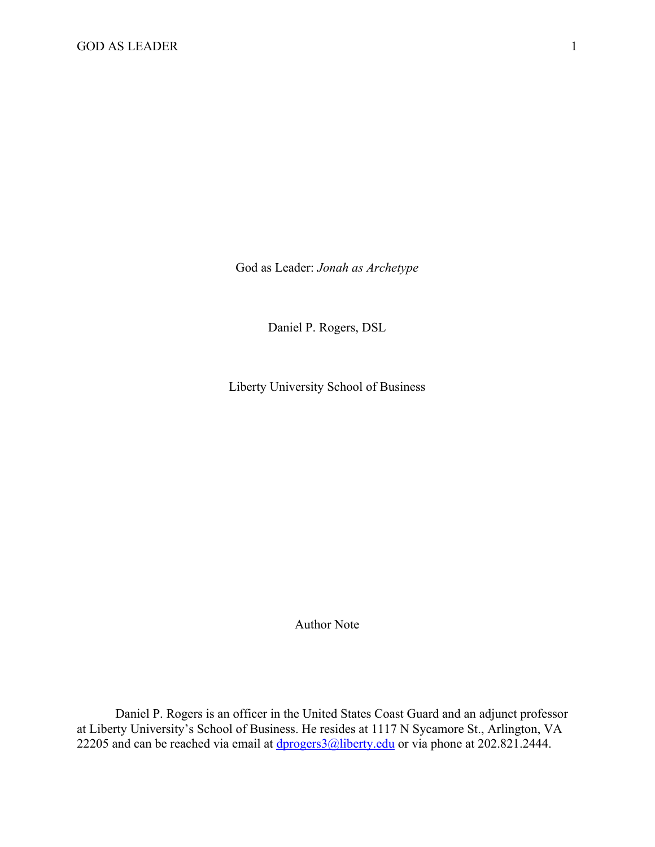God as Leader: *Jonah as Archetype*

Daniel P. Rogers, DSL

Liberty University School of Business

Author Note

Daniel P. Rogers is an officer in the United States Coast Guard and an adjunct professor at Liberty University's School of Business. He resides at 1117 N Sycamore St., Arlington, VA 22205 and can be reached via email at  $\frac{dprogers3@libery.edu}{dprogers3@libery.edu}$  or via phone at 202.821.2444.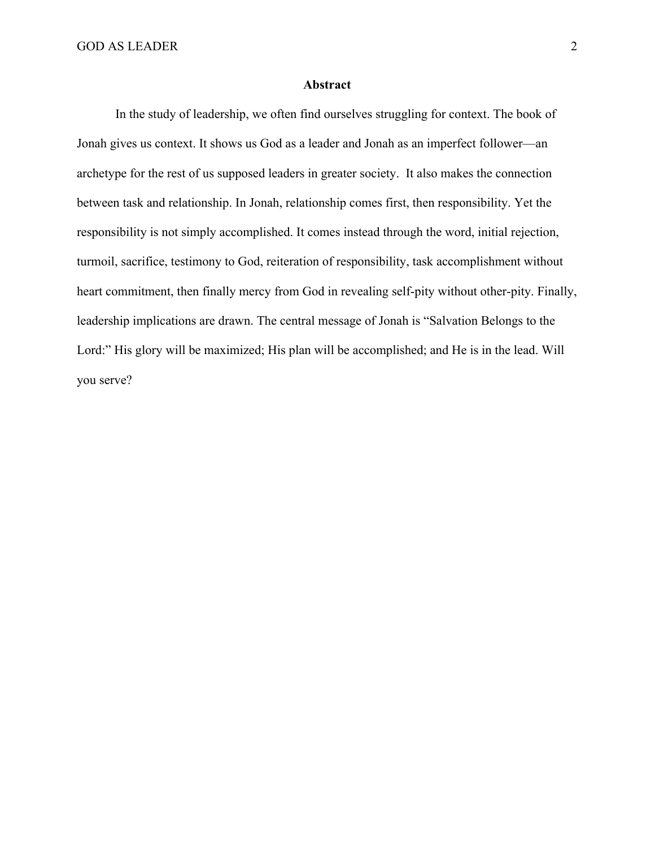# **Abstract**

In the study of leadership, we often find ourselves struggling for context. The book of Jonah gives us context. It shows us God as a leader and Jonah as an imperfect follower—an archetype for the rest of us supposed leaders in greater society. It also makes the connection between task and relationship. In Jonah, relationship comes first, then responsibility. Yet the responsibility is not simply accomplished. It comes instead through the word, initial rejection, turmoil, sacrifice, testimony to God, reiteration of responsibility, task accomplishment without heart commitment, then finally mercy from God in revealing self-pity without other-pity. Finally, leadership implications are drawn. The central message of Jonah is "Salvation Belongs to the Lord:" His glory will be maximized; His plan will be accomplished; and He is in the lead. Will you serve?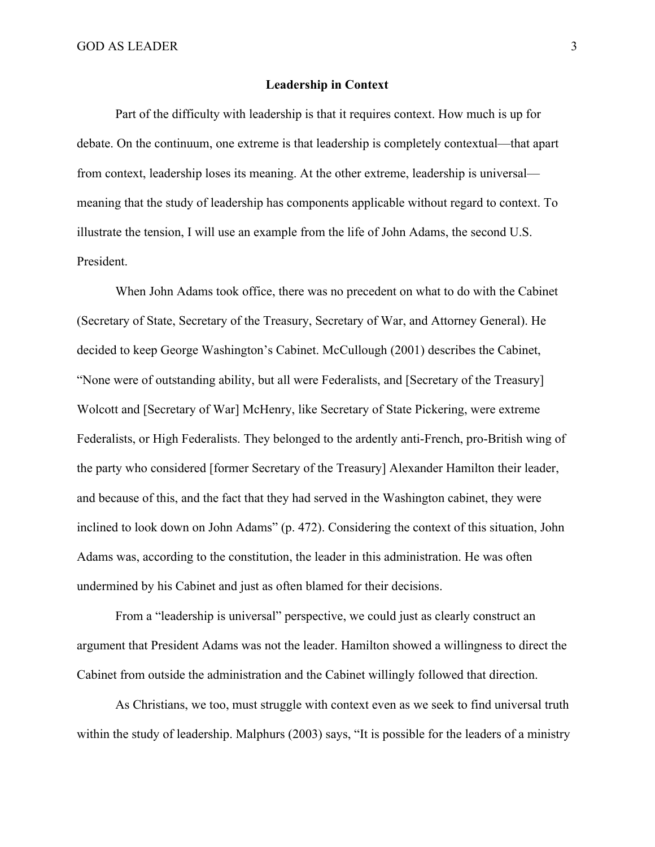#### **Leadership in Context**

Part of the difficulty with leadership is that it requires context. How much is up for debate. On the continuum, one extreme is that leadership is completely contextual—that apart from context, leadership loses its meaning. At the other extreme, leadership is universal meaning that the study of leadership has components applicable without regard to context. To illustrate the tension, I will use an example from the life of John Adams, the second U.S. President.

When John Adams took office, there was no precedent on what to do with the Cabinet (Secretary of State, Secretary of the Treasury, Secretary of War, and Attorney General). He decided to keep George Washington's Cabinet. McCullough (2001) describes the Cabinet, "None were of outstanding ability, but all were Federalists, and [Secretary of the Treasury] Wolcott and [Secretary of War] McHenry, like Secretary of State Pickering, were extreme Federalists, or High Federalists. They belonged to the ardently anti-French, pro-British wing of the party who considered [former Secretary of the Treasury] Alexander Hamilton their leader, and because of this, and the fact that they had served in the Washington cabinet, they were inclined to look down on John Adams" (p. 472). Considering the context of this situation, John Adams was, according to the constitution, the leader in this administration. He was often undermined by his Cabinet and just as often blamed for their decisions.

From a "leadership is universal" perspective, we could just as clearly construct an argument that President Adams was not the leader. Hamilton showed a willingness to direct the Cabinet from outside the administration and the Cabinet willingly followed that direction.

As Christians, we too, must struggle with context even as we seek to find universal truth within the study of leadership. Malphurs (2003) says, "It is possible for the leaders of a ministry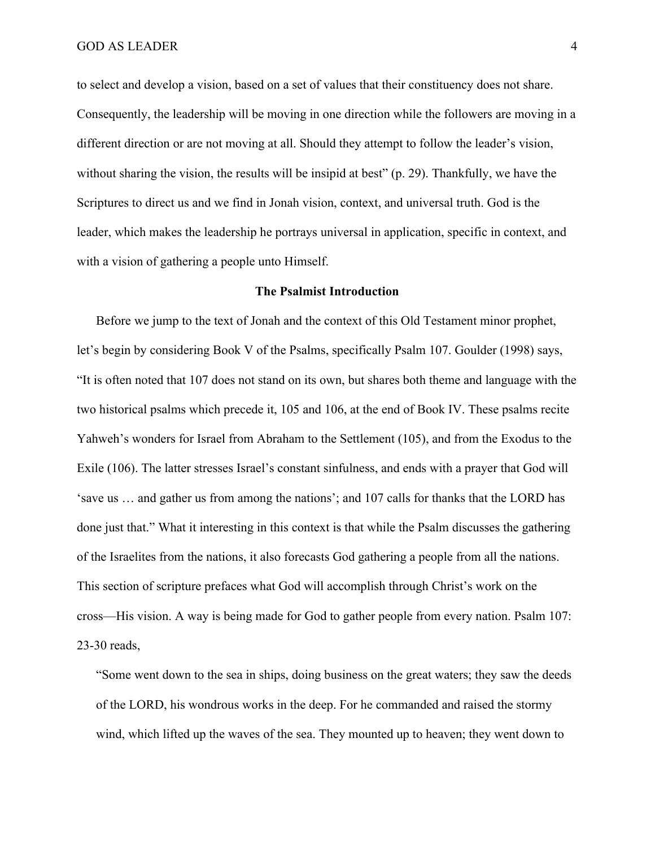to select and develop a vision, based on a set of values that their constituency does not share. Consequently, the leadership will be moving in one direction while the followers are moving in a different direction or are not moving at all. Should they attempt to follow the leader's vision, without sharing the vision, the results will be insipid at best" (p. 29). Thankfully, we have the Scriptures to direct us and we find in Jonah vision, context, and universal truth. God is the leader, which makes the leadership he portrays universal in application, specific in context, and with a vision of gathering a people unto Himself.

#### **The Psalmist Introduction**

Before we jump to the text of Jonah and the context of this Old Testament minor prophet, let's begin by considering Book V of the Psalms, specifically Psalm 107. Goulder (1998) says, "It is often noted that 107 does not stand on its own, but shares both theme and language with the two historical psalms which precede it, 105 and 106, at the end of Book IV. These psalms recite Yahweh's wonders for Israel from Abraham to the Settlement (105), and from the Exodus to the Exile (106). The latter stresses Israel's constant sinfulness, and ends with a prayer that God will 'save us … and gather us from among the nations'; and 107 calls for thanks that the LORD has done just that." What it interesting in this context is that while the Psalm discusses the gathering of the Israelites from the nations, it also forecasts God gathering a people from all the nations. This section of scripture prefaces what God will accomplish through Christ's work on the cross—His vision. A way is being made for God to gather people from every nation. Psalm 107: 23-30 reads,

"Some went down to the sea in ships, doing business on the great waters; they saw the deeds of the LORD, his wondrous works in the deep. For he commanded and raised the stormy wind, which lifted up the waves of the sea. They mounted up to heaven; they went down to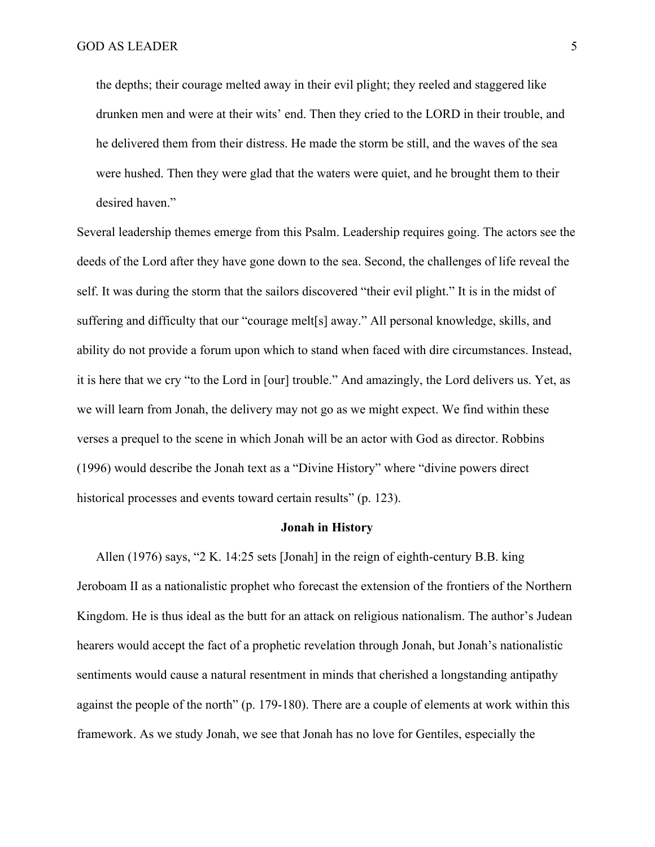the depths; their courage melted away in their evil plight; they reeled and staggered like drunken men and were at their wits' end. Then they cried to the LORD in their trouble, and he delivered them from their distress. He made the storm be still, and the waves of the sea were hushed. Then they were glad that the waters were quiet, and he brought them to their desired haven."

Several leadership themes emerge from this Psalm. Leadership requires going. The actors see the deeds of the Lord after they have gone down to the sea. Second, the challenges of life reveal the self. It was during the storm that the sailors discovered "their evil plight." It is in the midst of suffering and difficulty that our "courage melt[s] away." All personal knowledge, skills, and ability do not provide a forum upon which to stand when faced with dire circumstances. Instead, it is here that we cry "to the Lord in [our] trouble." And amazingly, the Lord delivers us. Yet, as we will learn from Jonah, the delivery may not go as we might expect. We find within these verses a prequel to the scene in which Jonah will be an actor with God as director. Robbins (1996) would describe the Jonah text as a "Divine History" where "divine powers direct historical processes and events toward certain results" (p. 123).

### **Jonah in History**

Allen (1976) says, "2 K. 14:25 sets [Jonah] in the reign of eighth-century B.B. king Jeroboam II as a nationalistic prophet who forecast the extension of the frontiers of the Northern Kingdom. He is thus ideal as the butt for an attack on religious nationalism. The author's Judean hearers would accept the fact of a prophetic revelation through Jonah, but Jonah's nationalistic sentiments would cause a natural resentment in minds that cherished a longstanding antipathy against the people of the north" (p. 179-180). There are a couple of elements at work within this framework. As we study Jonah, we see that Jonah has no love for Gentiles, especially the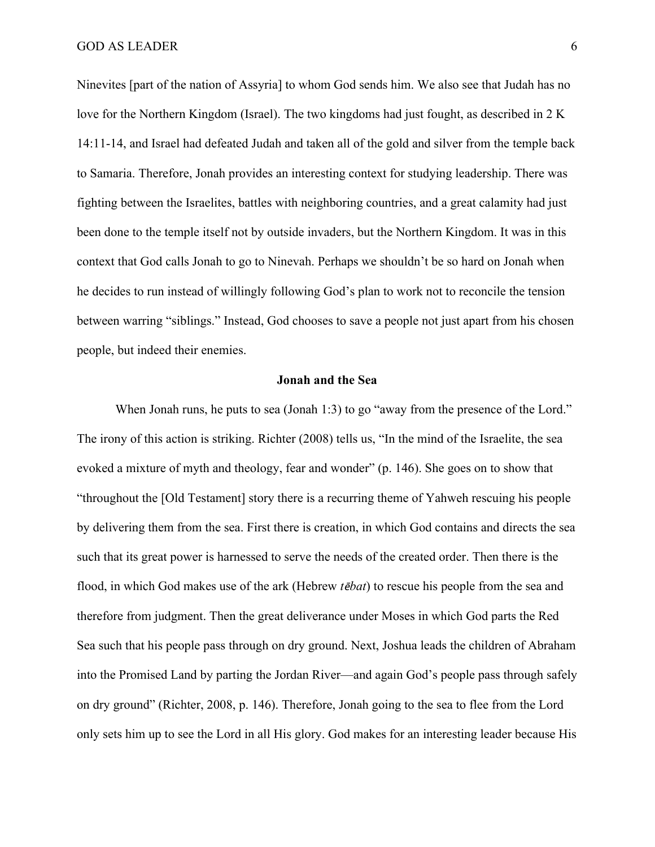Ninevites [part of the nation of Assyria] to whom God sends him. We also see that Judah has no love for the Northern Kingdom (Israel). The two kingdoms had just fought, as described in 2 K 14:11-14, and Israel had defeated Judah and taken all of the gold and silver from the temple back to Samaria. Therefore, Jonah provides an interesting context for studying leadership. There was fighting between the Israelites, battles with neighboring countries, and a great calamity had just been done to the temple itself not by outside invaders, but the Northern Kingdom. It was in this context that God calls Jonah to go to Ninevah. Perhaps we shouldn't be so hard on Jonah when he decides to run instead of willingly following God's plan to work not to reconcile the tension between warring "siblings." Instead, God chooses to save a people not just apart from his chosen people, but indeed their enemies.

#### **Jonah and the Sea**

When Jonah runs, he puts to sea (Jonah 1:3) to go "away from the presence of the Lord." The irony of this action is striking. Richter (2008) tells us, "In the mind of the Israelite, the sea evoked a mixture of myth and theology, fear and wonder" (p. 146). She goes on to show that "throughout the [Old Testament] story there is a recurring theme of Yahweh rescuing his people by delivering them from the sea. First there is creation, in which God contains and directs the sea such that its great power is harnessed to serve the needs of the created order. Then there is the flood, in which God makes use of the ark (Hebrew *t*ē*bat*) to rescue his people from the sea and therefore from judgment. Then the great deliverance under Moses in which God parts the Red Sea such that his people pass through on dry ground. Next, Joshua leads the children of Abraham into the Promised Land by parting the Jordan River—and again God's people pass through safely on dry ground" (Richter, 2008, p. 146). Therefore, Jonah going to the sea to flee from the Lord only sets him up to see the Lord in all His glory. God makes for an interesting leader because His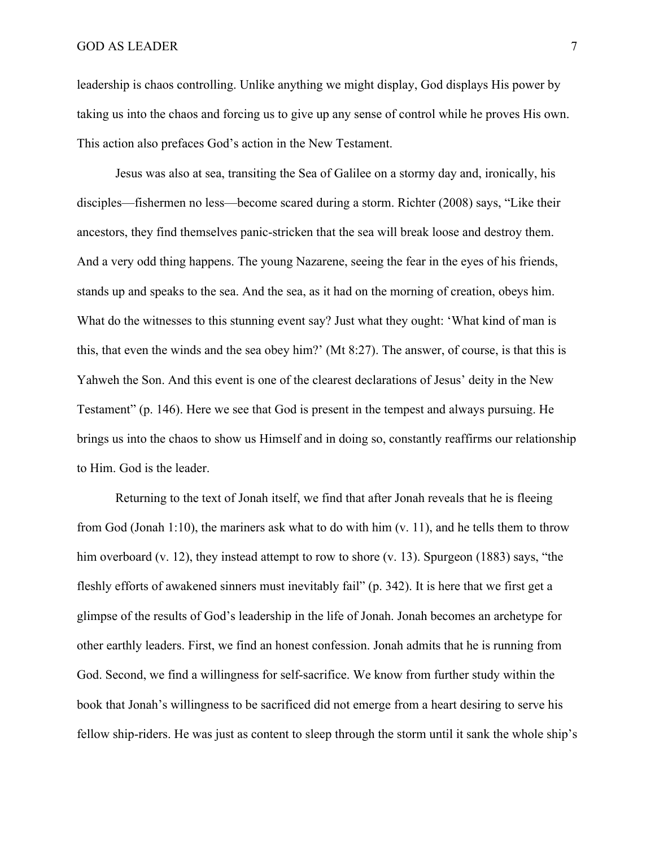leadership is chaos controlling. Unlike anything we might display, God displays His power by taking us into the chaos and forcing us to give up any sense of control while he proves His own. This action also prefaces God's action in the New Testament.

Jesus was also at sea, transiting the Sea of Galilee on a stormy day and, ironically, his disciples—fishermen no less—become scared during a storm. Richter (2008) says, "Like their ancestors, they find themselves panic-stricken that the sea will break loose and destroy them. And a very odd thing happens. The young Nazarene, seeing the fear in the eyes of his friends, stands up and speaks to the sea. And the sea, as it had on the morning of creation, obeys him. What do the witnesses to this stunning event say? Just what they ought: 'What kind of man is this, that even the winds and the sea obey him?' (Mt 8:27). The answer, of course, is that this is Yahweh the Son. And this event is one of the clearest declarations of Jesus' deity in the New Testament" (p. 146). Here we see that God is present in the tempest and always pursuing. He brings us into the chaos to show us Himself and in doing so, constantly reaffirms our relationship to Him. God is the leader.

Returning to the text of Jonah itself, we find that after Jonah reveals that he is fleeing from God (Jonah 1:10), the mariners ask what to do with him  $(v. 11)$ , and he tells them to throw him overboard (v. 12), they instead attempt to row to shore (v. 13). Spurgeon (1883) says, "the fleshly efforts of awakened sinners must inevitably fail" (p. 342). It is here that we first get a glimpse of the results of God's leadership in the life of Jonah. Jonah becomes an archetype for other earthly leaders. First, we find an honest confession. Jonah admits that he is running from God. Second, we find a willingness for self-sacrifice. We know from further study within the book that Jonah's willingness to be sacrificed did not emerge from a heart desiring to serve his fellow ship-riders. He was just as content to sleep through the storm until it sank the whole ship's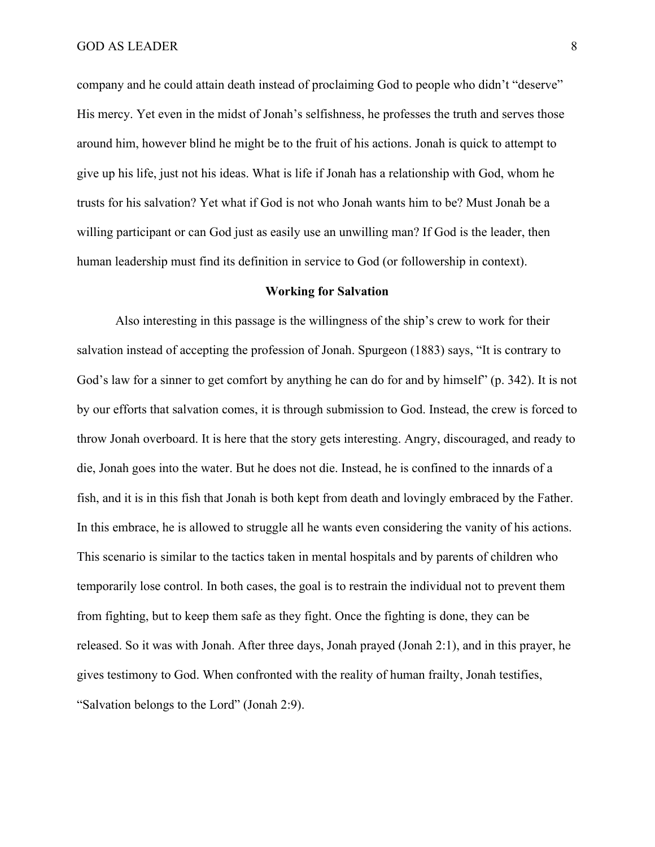company and he could attain death instead of proclaiming God to people who didn't "deserve" His mercy. Yet even in the midst of Jonah's selfishness, he professes the truth and serves those around him, however blind he might be to the fruit of his actions. Jonah is quick to attempt to give up his life, just not his ideas. What is life if Jonah has a relationship with God, whom he trusts for his salvation? Yet what if God is not who Jonah wants him to be? Must Jonah be a willing participant or can God just as easily use an unwilling man? If God is the leader, then human leadership must find its definition in service to God (or followership in context).

#### **Working for Salvation**

Also interesting in this passage is the willingness of the ship's crew to work for their salvation instead of accepting the profession of Jonah. Spurgeon (1883) says, "It is contrary to God's law for a sinner to get comfort by anything he can do for and by himself" (p. 342). It is not by our efforts that salvation comes, it is through submission to God. Instead, the crew is forced to throw Jonah overboard. It is here that the story gets interesting. Angry, discouraged, and ready to die, Jonah goes into the water. But he does not die. Instead, he is confined to the innards of a fish, and it is in this fish that Jonah is both kept from death and lovingly embraced by the Father. In this embrace, he is allowed to struggle all he wants even considering the vanity of his actions. This scenario is similar to the tactics taken in mental hospitals and by parents of children who temporarily lose control. In both cases, the goal is to restrain the individual not to prevent them from fighting, but to keep them safe as they fight. Once the fighting is done, they can be released. So it was with Jonah. After three days, Jonah prayed (Jonah 2:1), and in this prayer, he gives testimony to God. When confronted with the reality of human frailty, Jonah testifies, "Salvation belongs to the Lord" (Jonah 2:9).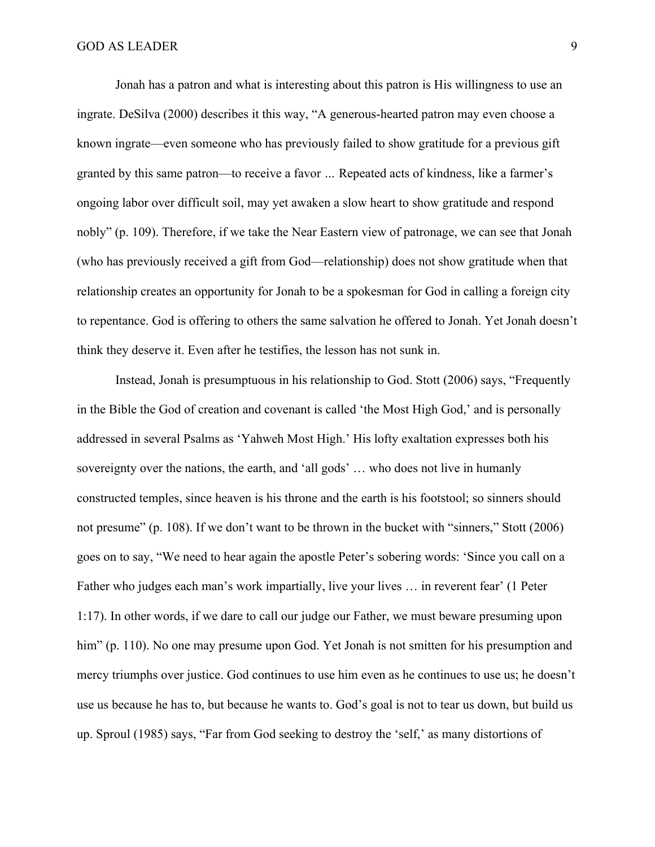Jonah has a patron and what is interesting about this patron is His willingness to use an ingrate. DeSilva (2000) describes it this way, "A generous-hearted patron may even choose a known ingrate—even someone who has previously failed to show gratitude for a previous gift granted by this same patron—to receive a favor *…* Repeated acts of kindness, like a farmer's ongoing labor over difficult soil, may yet awaken a slow heart to show gratitude and respond nobly" (p. 109). Therefore, if we take the Near Eastern view of patronage, we can see that Jonah (who has previously received a gift from God—relationship) does not show gratitude when that relationship creates an opportunity for Jonah to be a spokesman for God in calling a foreign city to repentance. God is offering to others the same salvation he offered to Jonah. Yet Jonah doesn't think they deserve it. Even after he testifies, the lesson has not sunk in.

Instead, Jonah is presumptuous in his relationship to God. Stott (2006) says, "Frequently in the Bible the God of creation and covenant is called 'the Most High God,' and is personally addressed in several Psalms as 'Yahweh Most High.' His lofty exaltation expresses both his sovereignty over the nations, the earth, and 'all gods' … who does not live in humanly constructed temples, since heaven is his throne and the earth is his footstool; so sinners should not presume" (p. 108). If we don't want to be thrown in the bucket with "sinners," Stott (2006) goes on to say, "We need to hear again the apostle Peter's sobering words: 'Since you call on a Father who judges each man's work impartially, live your lives … in reverent fear' (1 Peter 1:17). In other words, if we dare to call our judge our Father, we must beware presuming upon him" (p. 110). No one may presume upon God. Yet Jonah is not smitten for his presumption and mercy triumphs over justice. God continues to use him even as he continues to use us; he doesn't use us because he has to, but because he wants to. God's goal is not to tear us down, but build us up. Sproul (1985) says, "Far from God seeking to destroy the 'self,' as many distortions of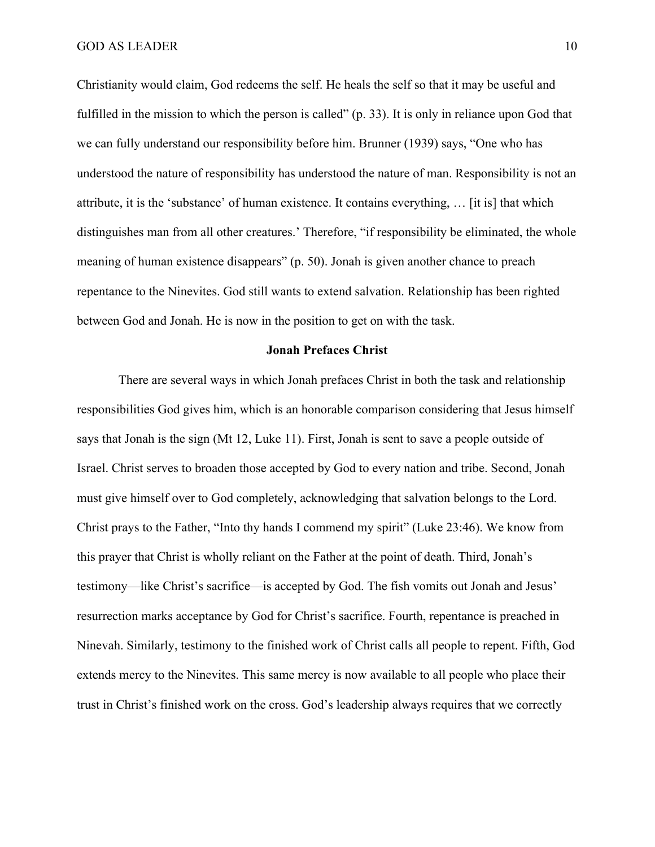Christianity would claim, God redeems the self. He heals the self so that it may be useful and fulfilled in the mission to which the person is called" (p. 33). It is only in reliance upon God that we can fully understand our responsibility before him. Brunner (1939) says, "One who has understood the nature of responsibility has understood the nature of man. Responsibility is not an attribute, it is the 'substance' of human existence. It contains everything, … [it is] that which distinguishes man from all other creatures.' Therefore, "if responsibility be eliminated, the whole meaning of human existence disappears" (p. 50). Jonah is given another chance to preach repentance to the Ninevites. God still wants to extend salvation. Relationship has been righted between God and Jonah. He is now in the position to get on with the task.

#### **Jonah Prefaces Christ**

There are several ways in which Jonah prefaces Christ in both the task and relationship responsibilities God gives him, which is an honorable comparison considering that Jesus himself says that Jonah is the sign (Mt 12, Luke 11). First, Jonah is sent to save a people outside of Israel. Christ serves to broaden those accepted by God to every nation and tribe. Second, Jonah must give himself over to God completely, acknowledging that salvation belongs to the Lord. Christ prays to the Father, "Into thy hands I commend my spirit" (Luke 23:46). We know from this prayer that Christ is wholly reliant on the Father at the point of death. Third, Jonah's testimony—like Christ's sacrifice—is accepted by God. The fish vomits out Jonah and Jesus' resurrection marks acceptance by God for Christ's sacrifice. Fourth, repentance is preached in Ninevah. Similarly, testimony to the finished work of Christ calls all people to repent. Fifth, God extends mercy to the Ninevites. This same mercy is now available to all people who place their trust in Christ's finished work on the cross. God's leadership always requires that we correctly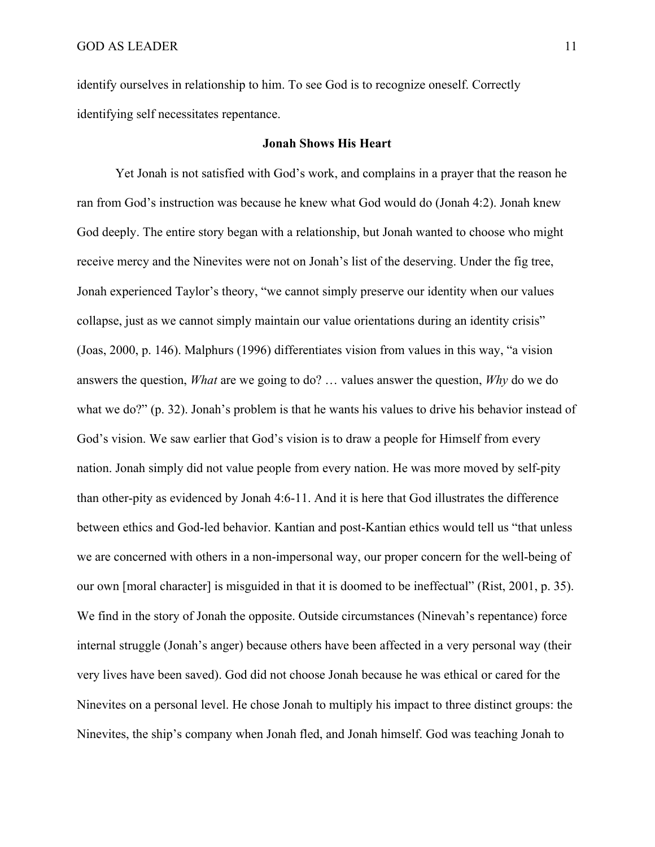identify ourselves in relationship to him. To see God is to recognize oneself. Correctly identifying self necessitates repentance.

# **Jonah Shows His Heart**

Yet Jonah is not satisfied with God's work, and complains in a prayer that the reason he ran from God's instruction was because he knew what God would do (Jonah 4:2). Jonah knew God deeply. The entire story began with a relationship, but Jonah wanted to choose who might receive mercy and the Ninevites were not on Jonah's list of the deserving. Under the fig tree, Jonah experienced Taylor's theory, "we cannot simply preserve our identity when our values collapse, just as we cannot simply maintain our value orientations during an identity crisis" (Joas, 2000, p. 146). Malphurs (1996) differentiates vision from values in this way, "a vision answers the question, *What* are we going to do? … values answer the question, *Why* do we do what we do?" (p. 32). Jonah's problem is that he wants his values to drive his behavior instead of God's vision. We saw earlier that God's vision is to draw a people for Himself from every nation. Jonah simply did not value people from every nation. He was more moved by self-pity than other-pity as evidenced by Jonah 4:6-11. And it is here that God illustrates the difference between ethics and God-led behavior. Kantian and post-Kantian ethics would tell us "that unless we are concerned with others in a non-impersonal way, our proper concern for the well-being of our own [moral character] is misguided in that it is doomed to be ineffectual" (Rist, 2001, p. 35). We find in the story of Jonah the opposite. Outside circumstances (Ninevah's repentance) force internal struggle (Jonah's anger) because others have been affected in a very personal way (their very lives have been saved). God did not choose Jonah because he was ethical or cared for the Ninevites on a personal level. He chose Jonah to multiply his impact to three distinct groups: the Ninevites, the ship's company when Jonah fled, and Jonah himself. God was teaching Jonah to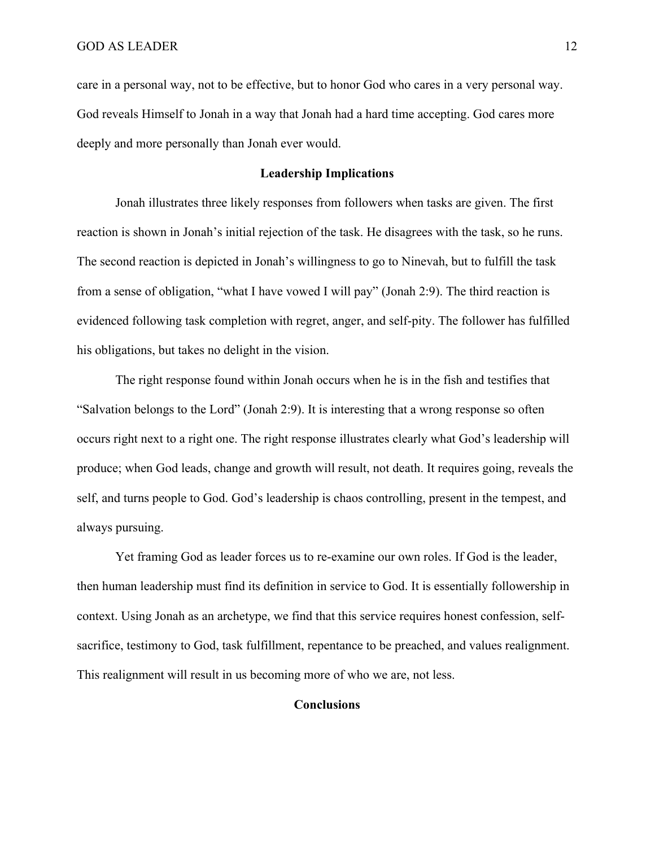care in a personal way, not to be effective, but to honor God who cares in a very personal way. God reveals Himself to Jonah in a way that Jonah had a hard time accepting. God cares more deeply and more personally than Jonah ever would.

# **Leadership Implications**

Jonah illustrates three likely responses from followers when tasks are given. The first reaction is shown in Jonah's initial rejection of the task. He disagrees with the task, so he runs. The second reaction is depicted in Jonah's willingness to go to Ninevah, but to fulfill the task from a sense of obligation, "what I have vowed I will pay" (Jonah 2:9). The third reaction is evidenced following task completion with regret, anger, and self-pity. The follower has fulfilled his obligations, but takes no delight in the vision.

The right response found within Jonah occurs when he is in the fish and testifies that "Salvation belongs to the Lord" (Jonah 2:9). It is interesting that a wrong response so often occurs right next to a right one. The right response illustrates clearly what God's leadership will produce; when God leads, change and growth will result, not death. It requires going, reveals the self, and turns people to God. God's leadership is chaos controlling, present in the tempest, and always pursuing.

Yet framing God as leader forces us to re-examine our own roles. If God is the leader, then human leadership must find its definition in service to God. It is essentially followership in context. Using Jonah as an archetype, we find that this service requires honest confession, selfsacrifice, testimony to God, task fulfillment, repentance to be preached, and values realignment. This realignment will result in us becoming more of who we are, not less.

## **Conclusions**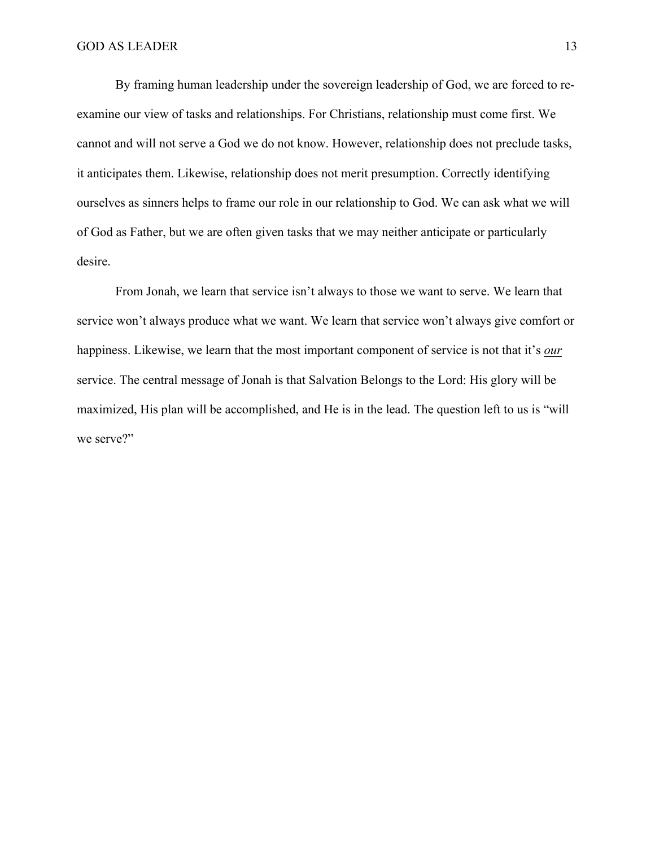By framing human leadership under the sovereign leadership of God, we are forced to reexamine our view of tasks and relationships. For Christians, relationship must come first. We cannot and will not serve a God we do not know. However, relationship does not preclude tasks, it anticipates them. Likewise, relationship does not merit presumption. Correctly identifying ourselves as sinners helps to frame our role in our relationship to God. We can ask what we will of God as Father, but we are often given tasks that we may neither anticipate or particularly desire.

From Jonah, we learn that service isn't always to those we want to serve. We learn that service won't always produce what we want. We learn that service won't always give comfort or happiness. Likewise, we learn that the most important component of service is not that it's *our* service. The central message of Jonah is that Salvation Belongs to the Lord: His glory will be maximized, His plan will be accomplished, and He is in the lead. The question left to us is "will we serve?"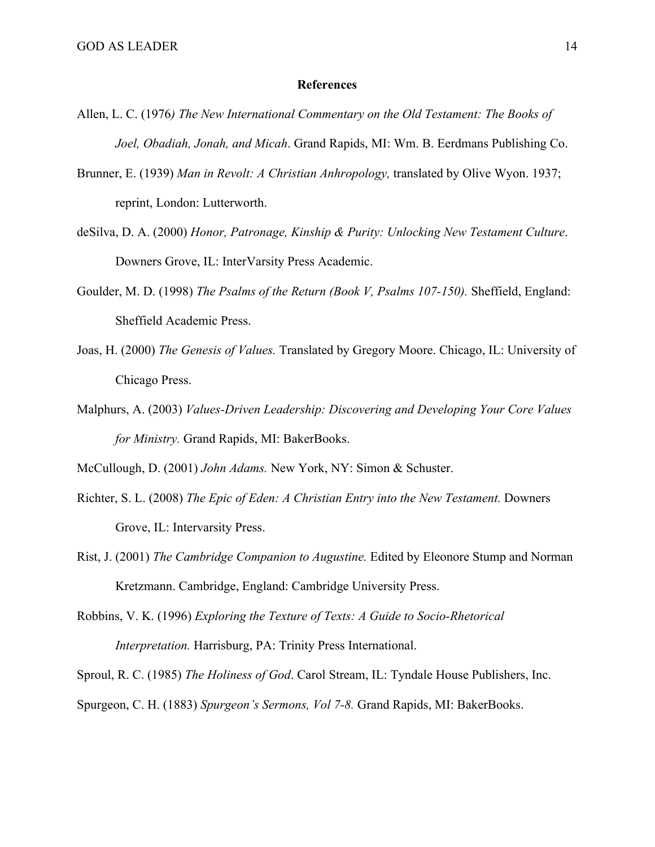#### **References**

- Allen, L. C. (1976*) The New International Commentary on the Old Testament: The Books of Joel, Obadiah, Jonah, and Micah*. Grand Rapids, MI: Wm. B. Eerdmans Publishing Co.
- Brunner, E. (1939) *Man in Revolt: A Christian Anhropology,* translated by Olive Wyon. 1937; reprint, London: Lutterworth.
- deSilva, D. A. (2000) *Honor, Patronage, Kinship & Purity: Unlocking New Testament Culture*. Downers Grove, IL: InterVarsity Press Academic.
- Goulder, M. D. (1998) *The Psalms of the Return (Book V, Psalms 107-150).* Sheffield, England: Sheffield Academic Press.
- Joas, H. (2000) *The Genesis of Values.* Translated by Gregory Moore. Chicago, IL: University of Chicago Press.
- Malphurs, A. (2003) *Values-Driven Leadership: Discovering and Developing Your Core Values for Ministry.* Grand Rapids, MI: BakerBooks.

McCullough, D. (2001) *John Adams.* New York, NY: Simon & Schuster.

- Richter, S. L. (2008) *The Epic of Eden: A Christian Entry into the New Testament.* Downers Grove, IL: Intervarsity Press.
- Rist, J. (2001) *The Cambridge Companion to Augustine.* Edited by Eleonore Stump and Norman Kretzmann. Cambridge, England: Cambridge University Press.
- Robbins, V. K. (1996) *Exploring the Texture of Texts: A Guide to Socio-Rhetorical Interpretation.* Harrisburg, PA: Trinity Press International.

Sproul, R. C. (1985) *The Holiness of God*. Carol Stream, IL: Tyndale House Publishers, Inc.

Spurgeon, C. H. (1883) *Spurgeon's Sermons, Vol 7-8.* Grand Rapids, MI: BakerBooks.